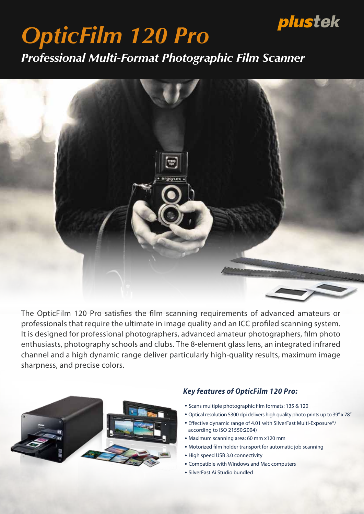# plustek

# *OpticFilm 120 Pro*

*Professional Multi-Format Photographic Film Scanner*



The OpticFilm 120 Pro satisfies the film scanning requirements of advanced amateurs or professionals that require the ultimate in image quality and an ICC profiled scanning system. It is designed for professional photographers, advanced amateur photographers, film photo enthusiasts, photography schools and clubs. The 8-element glass lens, an integrated infrared channel and a high dynamic range deliver particularly high-quality results, maximum image sharpness, and precise colors.



### Key features of OpticFilm 120 Pro.

- Scans multiple photographic film formats: 135 & 120
- ・Optical resolution 5300 dpi delivers high quality photo prints up to 39" x 78"
- Effective dynamic range of 4.01 with SilverFast Multi-Exposure<sup>®</sup>/ according to ISO 21550:2004)
- ・Maximum scanning area: 60 mm x120 mm
- Motorized film holder transport for automatic job scanning
- ・High speed USB 3.0 connectivity
- ・Compatible with Windows and Mac computers
- ・SilverFast Ai Studio bundled